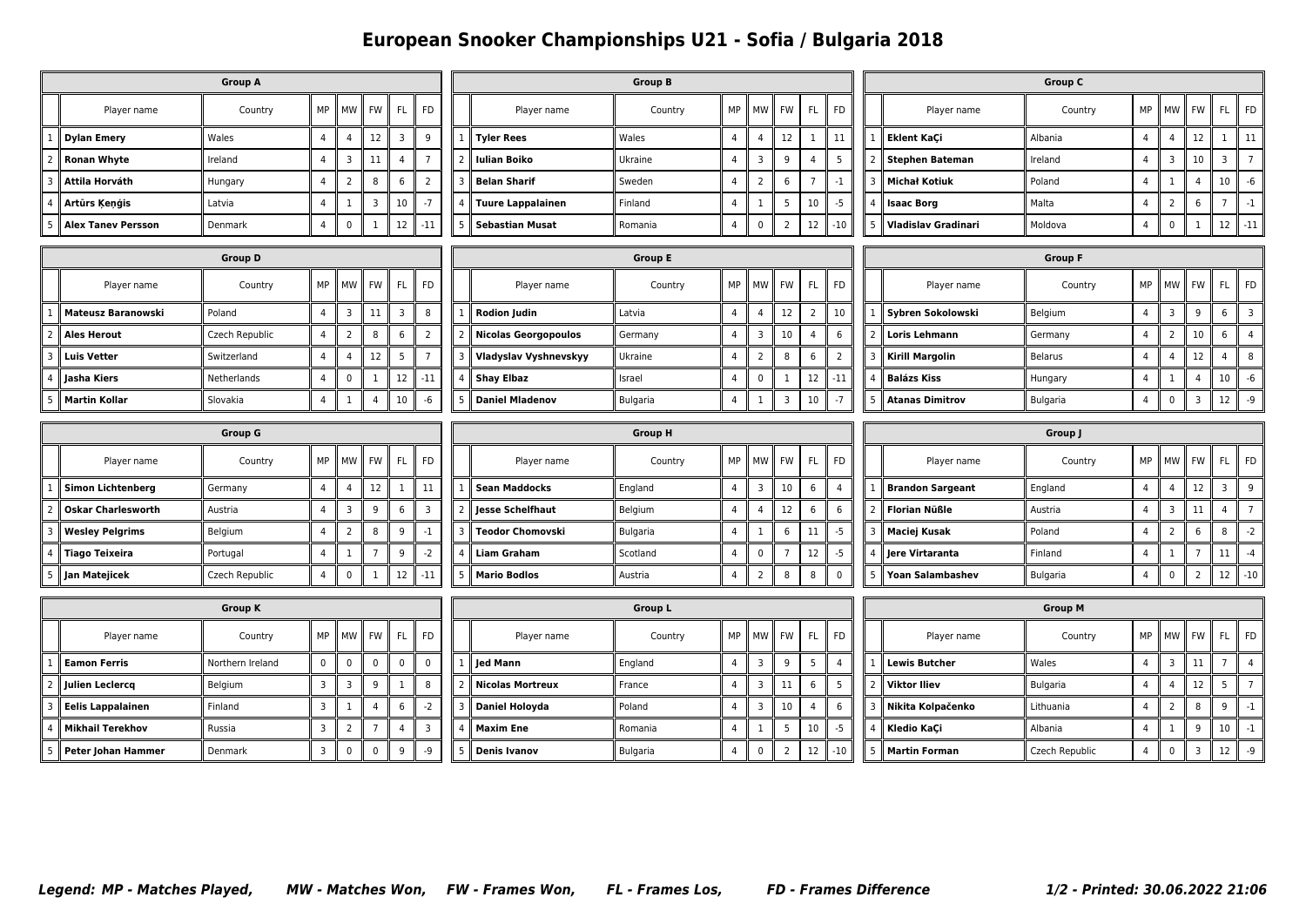## **European Snooker Championships U21 - Sofia / Bulgaria 2018**

| <b>Group A</b>                                                                                       |                           |                  |                |                            |                |                 |                         | <b>Group B</b>           |                              |                |                |                |                 |                          |                |                | Group C                |                 |                |                         |                |                 |                         |  |
|------------------------------------------------------------------------------------------------------|---------------------------|------------------|----------------|----------------------------|----------------|-----------------|-------------------------|--------------------------|------------------------------|----------------|----------------|----------------|-----------------|--------------------------|----------------|----------------|------------------------|-----------------|----------------|-------------------------|----------------|-----------------|-------------------------|--|
|                                                                                                      | Player name               | Country          | MP             | <b>MW</b>                  | <b>FW</b>      | <b>FL</b>       | <b>FD</b>               |                          | Player name                  | Country        | MP             | MW             | FW              | FL.                      | <b>FD</b>      |                | Player name            | Country         | MP             | MW                      | <b>FW</b>      | FL.             | FD                      |  |
|                                                                                                      | <b>Dylan Emery</b>        | Wales            | $\overline{4}$ | $\overline{4}$             | 12             | 3               | 9                       |                          | <b>Tyler Rees</b>            | Wales          | $\overline{4}$ | 4              | 12              | 1                        | 11             |                | <b>Eklent KaÇi</b>     | Albania         | $\overline{4}$ | $\overline{4}$          | 12             | 1               | 11                      |  |
|                                                                                                      | <b>Ronan Whyte</b>        | Ireland          | $\overline{4}$ | $\overline{3}$             | 11             | $\overline{4}$  | $\overline{7}$          | $\overline{\phantom{0}}$ | <b>Iulian Boiko</b>          | Ukraine        | $\overline{4}$ | 3              | 9               | $\overline{4}$           | 5              | $\overline{2}$ | Stephen Bateman        | Ireland         | $\overline{4}$ | 3                       | 10             | 3               | $\overline{7}$          |  |
|                                                                                                      | Attila Horváth            | Hungary          | $\overline{4}$ | $\overline{2}$             | 8              | 6               | $\overline{2}$          |                          | <b>Belan Sharif</b>          | Sweden         | $\overline{4}$ | $\overline{2}$ | 6               | $\overline{7}$           | $-1$           |                | <b>Michał Kotiuk</b>   | Poland          | $\overline{4}$ | $\mathbf{1}$            | $\overline{4}$ | 10              | -6                      |  |
|                                                                                                      | Artūrs Ķeņģis             | Latvia           | $\overline{4}$ | 1                          | 3              | 10              | $-7$                    |                          | <b>Tuure Lappalainen</b>     | Finland        | $\overline{4}$ | 1              | 5               | 10                       | $-5$           |                | <b>Isaac Borg</b>      | Malta           | $\overline{4}$ | $\overline{2}$          | 6              | $\overline{7}$  | $-1$                    |  |
| $\overline{4}$<br>$\mathbf 0$<br>12<br>$\mathbf{1}$<br>$-11$<br><b>Alex Tanev Persson</b><br>Denmark |                           |                  |                |                            | -5             | Sebastian Musat | Romania                 | $\overline{4}$           | $\mathbf 0$                  | 2              | 12             | -10            |                 | 5    Vladislav Gradinari | Moldova        | $\overline{4}$ | $\pmb{0}$              | 1               | 12             | $-11$                   |                |                 |                         |  |
| <b>Group D</b>                                                                                       |                           |                  |                |                            |                |                 |                         |                          |                              | <b>Group E</b> |                |                |                 |                          |                | <b>Group F</b> |                        |                 |                |                         |                |                 |                         |  |
|                                                                                                      | Player name               | Country          | MP             | <b>MW</b>                  | FW             | <b>FL</b>       | <b>FD</b>               |                          | Player name                  | Country        | MP             | MW             | FW              | FL.                      | <b>FD</b>      |                | Player name            | Country         | MP             | <b>MW</b>               | <b>FW</b>      | FL.             | FD                      |  |
|                                                                                                      | <b>Mateusz Baranowski</b> | Poland           | $\overline{4}$ | $\overline{3}$             | 11             | $\overline{3}$  | 8                       |                          | <b>Rodion Judin</b>          | Latvia         | $\overline{4}$ | $\overline{4}$ | 12              | 2                        | 10             |                | Sybren Sokolowski      | Belgium         | $\overline{4}$ | $\overline{3}$          | 9              | 6               | $\overline{\mathbf{3}}$ |  |
|                                                                                                      | Ales Herout               | Czech Republic   | $\overline{4}$ | $\overline{2}$             | 8              | 6               | 2                       |                          | <b>Nicolas Georgopoulos</b>  | Germany        | $\overline{4}$ | 3              | 10 <sup>°</sup> | $\overline{4}$           | 6              |                | <b>Loris Lehmann</b>   | Germany         | $\overline{4}$ | $\overline{2}$          | 10             | 6               | $\overline{4}$          |  |
|                                                                                                      | <b>Luis Vetter</b>        | Switzerland      | $\overline{4}$ | $\overline{4}$             | 12             | 5               | $\overline{7}$          |                          | <b>Vladyslav Vyshnevskyy</b> | Ukraine        | $\overline{4}$ | $\overline{2}$ | 8               | 6                        | $\overline{2}$ | 3              | Kirill Margolin        | <b>Belarus</b>  | $\overline{4}$ | $\overline{4}$          | 12             | $\overline{4}$  | 8                       |  |
|                                                                                                      | Jasha Kiers               | Netherlands      | $\overline{4}$ | $\pmb{0}$                  | $\mathbf{1}$   | 12              | $-11$                   |                          | <b>Shay Elbaz</b>            | Israel         | $\overline{4}$ | $\mathbf 0$    | 1               | 12                       | $-11$          |                | <b>Balázs Kiss</b>     | Hungary         | $\overline{4}$ | $\mathbf{1}$            | $\overline{4}$ | 10 <sup>°</sup> | $-6$                    |  |
|                                                                                                      | <b>Martin Kollar</b>      | Slovakia         | $\overline{4}$ | 1                          | $\overline{4}$ | 10 <sup>°</sup> | -6                      | 5                        | <b>Daniel Mladenov</b>       | Bulgaria       | $\overline{4}$ | 1              | 3               | 10                       | $-7$           | 5              | <b>Atanas Dimitrov</b> | Bulgaria        | $\overline{4}$ | $\mathbf 0$             | $\overline{3}$ | 12              | -9                      |  |
|                                                                                                      |                           | <b>Group G</b>   |                |                            |                |                 |                         |                          |                              | <b>Group H</b> | Group J        |                |                 |                          |                |                |                        |                 |                |                         |                |                 |                         |  |
|                                                                                                      | Player name               |                  | MP             | <b>MW</b>                  | FW             | FL              | <b>FD</b>               |                          | Player name                  | Country        | MP             | MW             | <b>FW</b>       | FL.                      | <b>FD</b>      |                | Player name            | Country         | MP             | MW                      | FW             | FL.             | ∥ FD                    |  |
|                                                                                                      |                           | Country          |                |                            |                |                 |                         |                          |                              |                |                |                |                 |                          |                |                |                        |                 |                |                         |                |                 |                         |  |
|                                                                                                      | <b>Simon Lichtenberg</b>  | Germany          | $\overline{4}$ | $\overline{4}$             | 12             | $\mathbf{1}$    | 11                      | $\mathbf{1}$             | <b>Sean Maddocks</b>         | England        | $\overline{4}$ | 3              | 10              | 6                        | 4              |                | 1   Brandon Sargeant   | England         | $\overline{4}$ | $\overline{4}$          | 12             | $\overline{3}$  | 9                       |  |
| $\mathcal{P}$                                                                                        | <b>Oskar Charlesworth</b> | Austria          | 4              | $\overline{3}$             | 9              | $\,6\,$         | $\overline{\mathbf{3}}$ |                          | Jesse Schelfhaut             | Belgium        | $\overline{4}$ | $\overline{4}$ | 12              | 6                        | 6              |                | <b>Florian Nüßle</b>   | Austria         | $\overline{4}$ | $\overline{\mathbf{3}}$ | 11             | $\overline{4}$  | $\overline{7}$          |  |
|                                                                                                      | <b>Wesley Pelgrims</b>    | Belgium          | $\overline{4}$ | $\overline{2}$             | 8              | 9               | $-1$                    |                          | <b>Teodor Chomovski</b>      | Bulgaria       | $\overline{4}$ | 1              | 6               | 11                       | $-5$           |                | Maciej Kusak           | Poland          | $\overline{4}$ | $\overline{2}$          | 6              | 8               | $-2$                    |  |
|                                                                                                      | <b>Tiago Teixeira</b>     | Portugal         | $\overline{4}$ | $\mathbf{1}$               | $\overline{7}$ | 9               | $-2$                    |                          | <b>Liam Graham</b>           | Scotland       | $\overline{4}$ | $\mathbf 0$    | $\overline{7}$  | 12                       | $-5$           | 4              | Jere Virtaranta        | Finland         | $\overline{4}$ | $\mathbf{1}$            | $\overline{7}$ | 11              | $-4$                    |  |
|                                                                                                      | Jan Matejicek             | Czech Republic   | $\overline{4}$ | $\pmb{0}$                  | 1              | 12              | $-11$                   | 5                        | <b>Mario Bodlos</b>          | Austria        | $\overline{4}$ | $\overline{2}$ | 8               | 8                        | $\mathbf 0$    |                | Yoan Salambashev       | Bulgaria        | 4              | $\pmb{0}$               | $\overline{2}$ | 12              | $-10$                   |  |
|                                                                                                      |                           | <b>Group K</b>   |                |                            |                |                 |                         |                          |                              | <b>Group L</b> |                |                |                 |                          |                |                |                        | <b>Group M</b>  |                |                         |                |                 |                         |  |
|                                                                                                      | Player name               | Country          | MP             | $\parallel$ MW $\parallel$ | FW             | <b>FL</b>       | <b>FD</b>               |                          | Player name                  | Country        | MP             | MW             | ll FW           | FL.                      | <b>FD</b>      |                | Player name            | Country         | MP             | <b>MW</b>               | <b>FW</b>      | FL.             | FD                      |  |
|                                                                                                      | <b>Eamon Ferris</b>       | Northern Ireland | $\overline{0}$ | $\mathbf 0$                | $\mathbf 0$    | $\pmb{0}$       | $\mathbf 0$             |                          | <b>Jed Mann</b>              | England        | $\overline{4}$ | 3              | 9               | $5\overline{5}$          | $\overline{4}$ |                | <b>Lewis Butcher</b>   | Wales           | $\overline{4}$ | 3                       | 11             | $\overline{7}$  | $\overline{4}$          |  |
|                                                                                                      | <b>Julien Leclerca</b>    | Belgium          | 3              | $\overline{3}$             | 9              | $\mathbf{1}$    | 8                       |                          | <b>Nicolas Mortreux</b>      | France         | $\overline{4}$ | 3              | 11              | 6                        | 5              | 2 I            | Viktor Iliev           | <b>Bulgaria</b> | $\overline{4}$ | $\overline{4}$          | 12             | 5               | $\overline{7}$          |  |
|                                                                                                      | <b>Eelis Lappalainen</b>  | Finland          | $\mathbf{3}$   | $\mathbf{1}$               | $\overline{4}$ | 6               | $-2$                    |                          | <b>Daniel Holoyda</b>        | Poland         | $\overline{4}$ | 3              | 10              | $\overline{4}$           | 6              |                | Nikita Kolpačenko      | Lithuania       | $\overline{4}$ | $\overline{2}$          | 8              | 9               | $-1$                    |  |
|                                                                                                      | <b>Mikhail Terekhov</b>   | Russia           | $\overline{3}$ | $\overline{2}$             | $\overline{7}$ | $\overline{4}$  | $\overline{3}$          |                          | <b>Maxim Ene</b>             | Romania        | $\overline{4}$ | 1              | 5               | 10                       | $-5$           |                | <b>Kledio KaCi</b>     | Albania         | $\overline{4}$ | $\mathbf{1}$            | 9              | 10 <sup>°</sup> | $-1$                    |  |